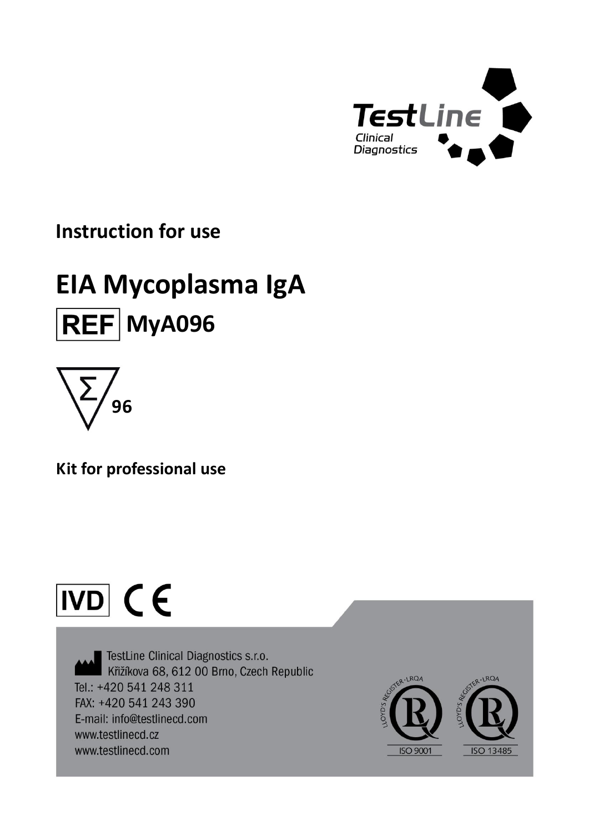

# **Instruction for use**

# **EIA Mycoplasma IgA REF** MyA096



**Kit for professional use**

# $\overline{ND}$  CE

TestLine Clinical Diagnostics s.r.o. Křižíkova 68, 612 00 Brno, Czech Republic Tel.: +420 541 248 311 FAX: +420 541 243 390 E-mail: info@testlinecd.com www.testlinecd.cz www.testlinecd.com

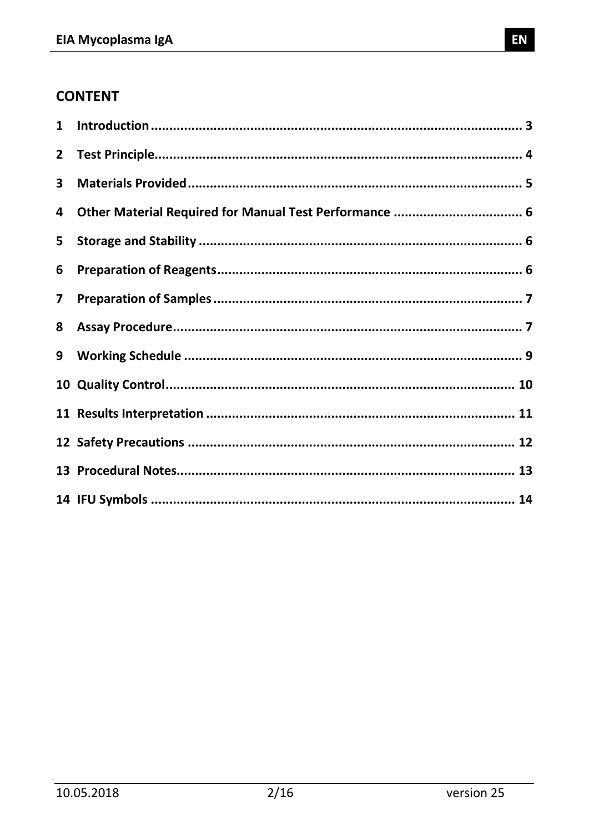# **CONTENT**

| $\mathbf{1}$            |  |
|-------------------------|--|
| $\mathbf{2}$            |  |
| 3                       |  |
| 4                       |  |
| 5                       |  |
| 6                       |  |
| $\overline{\mathbf{z}}$ |  |
| 8                       |  |
| 9                       |  |
|                         |  |
|                         |  |
|                         |  |
|                         |  |
|                         |  |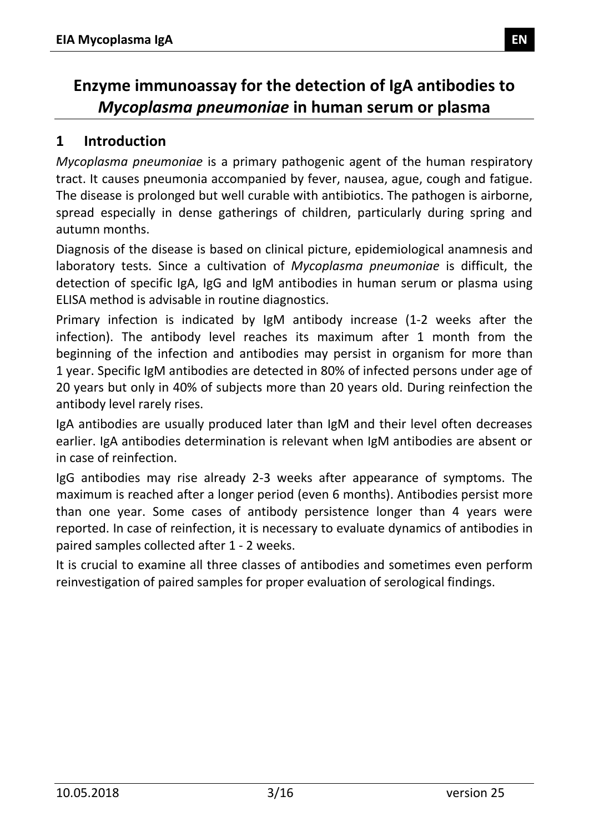# **Enzyme immunoassay for the detection of IgA antibodies to**  *Mycoplasma pneumoniae* **in human serum or plasma**

# <span id="page-2-0"></span>**1 Introduction**

*Mycoplasma pneumoniae* is a primary pathogenic agent of the human respiratory tract. It causes pneumonia accompanied by fever, nausea, ague, cough and fatigue. The disease is prolonged but well curable with antibiotics. The pathogen is airborne, spread especially in dense gatherings of children, particularly during spring and autumn months.

Diagnosis of the disease is based on clinical picture, epidemiological anamnesis and laboratory tests. Since a cultivation of *Mycoplasma pneumoniae* is difficult, the detection of specific IgA, IgG and IgM antibodies in human serum or plasma using ELISA method is advisable in routine diagnostics.

Primary infection is indicated by IgM antibody increase (1-2 weeks after the infection). The antibody level reaches its maximum after 1 month from the beginning of the infection and antibodies may persist in organism for more than 1 year. Specific IgM antibodies are detected in 80% of infected persons under age of 20 years but only in 40% of subjects more than 20 years old. During reinfection the antibody level rarely rises.

IgA antibodies are usually produced later than IgM and their level often decreases earlier. IgA antibodies determination is relevant when IgM antibodies are absent or in case of reinfection.

IgG antibodies may rise already 2-3 weeks after appearance of symptoms. The maximum is reached after a longer period (even 6 months). Antibodies persist more than one year. Some cases of antibody persistence longer than 4 years were reported. In case of reinfection, it is necessary to evaluate dynamics of antibodies in paired samples collected after 1 - 2 weeks.

<span id="page-2-1"></span>It is crucial to examine all three classes of antibodies and sometimes even perform reinvestigation of paired samples for proper evaluation of serological findings.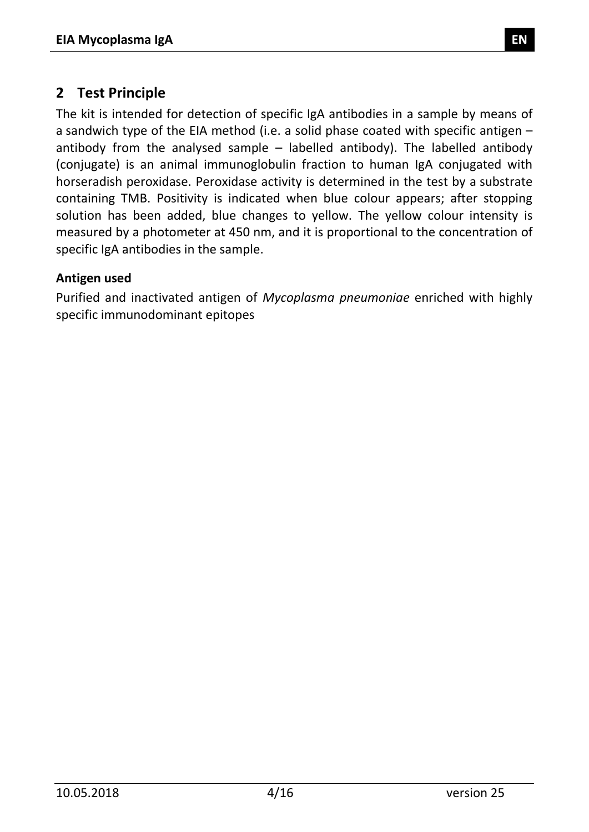#### **2 Test Principle**

The kit is intended for detection of specific IgA antibodies in a sample by means of a sandwich type of the EIA method (i.e. a solid phase coated with specific antigen – antibody from the analysed sample – labelled antibody). The labelled antibody (conjugate) is an animal immunoglobulin fraction to human IgA conjugated with horseradish peroxidase. Peroxidase activity is determined in the test by a substrate containing TMB. Positivity is indicated when blue colour appears; after stopping solution has been added, blue changes to yellow. The yellow colour intensity is measured by a photometer at 450 nm, and it is proportional to the concentration of specific IgA antibodies in the sample.

#### **Antigen used**

<span id="page-3-0"></span>Purified and inactivated antigen of *Mycoplasma pneumoniae* enriched with highly specific immunodominant epitopes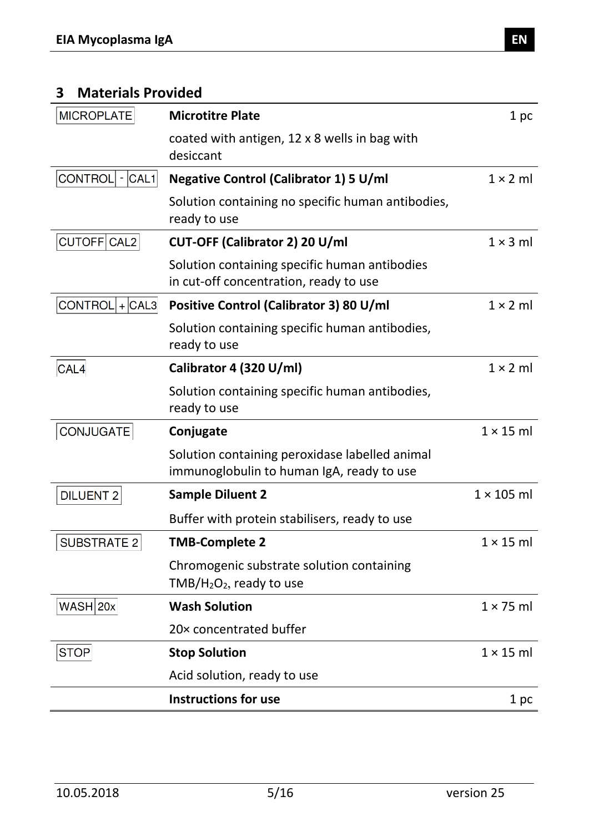# **3 Materials Provided**

| <b>MICROPLATE</b>           | <b>Microtitre Plate</b>                                                                       | 1 pc              |
|-----------------------------|-----------------------------------------------------------------------------------------------|-------------------|
|                             | coated with antigen, 12 x 8 wells in bag with<br>desiccant                                    |                   |
| <b>CONTROL</b><br>$- CAL1 $ | <b>Negative Control (Calibrator 1) 5 U/ml</b>                                                 | $1 \times 2$ ml   |
|                             | Solution containing no specific human antibodies,<br>ready to use                             |                   |
| CUTOFF CAL2                 | CUT-OFF (Calibrator 2) 20 U/ml                                                                | $1 \times 3$ ml   |
|                             | Solution containing specific human antibodies<br>in cut-off concentration, ready to use       |                   |
| $CONTROL + CAL3 $           | Positive Control (Calibrator 3) 80 U/ml                                                       | $1 \times 2$ ml   |
|                             | Solution containing specific human antibodies,<br>ready to use                                |                   |
| CAL4                        | Calibrator 4 (320 U/ml)                                                                       | $1 \times 2$ ml   |
|                             | Solution containing specific human antibodies,<br>ready to use                                |                   |
| CONJUGATE                   | Conjugate                                                                                     | $1 \times 15$ ml  |
|                             | Solution containing peroxidase labelled animal<br>immunoglobulin to human IgA, ready to use   |                   |
| <b>DILUENT 2</b>            | <b>Sample Diluent 2</b>                                                                       | $1 \times 105$ ml |
|                             | Buffer with protein stabilisers, ready to use                                                 |                   |
| <b>SUBSTRATE 2</b>          | <b>TMB-Complete 2</b>                                                                         | $1 \times 15$ ml  |
|                             | Chromogenic substrate solution containing<br>TMB/H <sub>2</sub> O <sub>2</sub> , ready to use |                   |
| WASH 20x                    | <b>Wash Solution</b>                                                                          | $1 \times 75$ ml  |
|                             | 20× concentrated buffer                                                                       |                   |
| <b>STOP</b>                 | <b>Stop Solution</b>                                                                          | $1 \times 15$ ml  |
|                             | Acid solution, ready to use                                                                   |                   |
|                             | <b>Instructions for use</b>                                                                   | 1 pc              |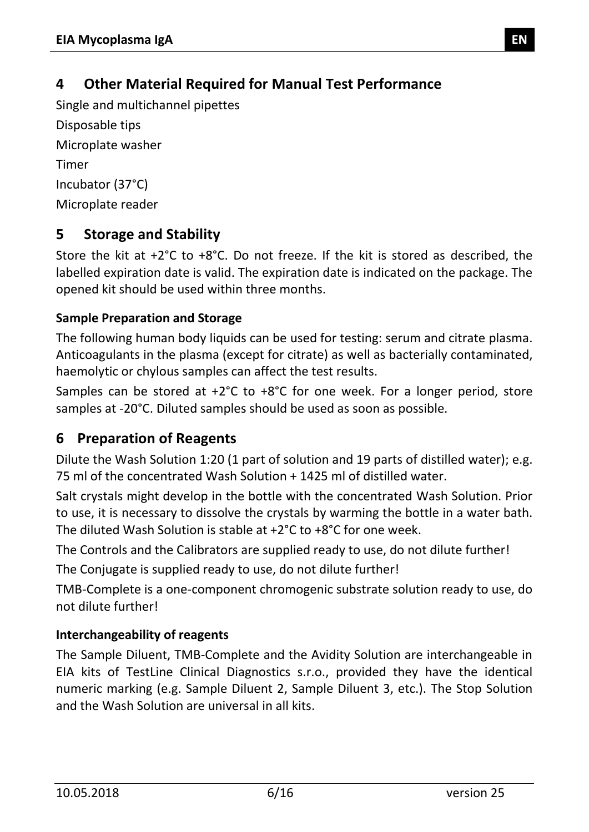# <span id="page-5-0"></span>**4 Other Material Required for Manual Test Performance**

Single and multichannel pipettes Disposable tips Microplate washer Timer Incubator (37°C) Microplate reader

# <span id="page-5-1"></span>**5 Storage and Stability**

Store the kit at +2°C to +8°C. Do not freeze. If the kit is stored as described, the labelled expiration date is valid. The expiration date is indicated on the package. The opened kit should be used within three months.

#### **Sample Preparation and Storage**

The following human body liquids can be used for testing: serum and citrate plasma. Anticoagulants in the plasma (except for citrate) as well as bacterially contaminated, haemolytic or chylous samples can affect the test results.

Samples can be stored at +2°C to +8°C for one week. For a longer period, store samples at -20°C. Diluted samples should be used as soon as possible.

# <span id="page-5-2"></span>**6 Preparation of Reagents**

Dilute the Wash Solution 1:20 (1 part of solution and 19 parts of distilled water); e.g. 75 ml of the concentrated Wash Solution + 1425 ml of distilled water.

Salt crystals might develop in the bottle with the concentrated Wash Solution. Prior to use, it is necessary to dissolve the crystals by warming the bottle in a water bath. The diluted Wash Solution is stable at +2°C to +8°C for one week.

The Controls and the Calibrators are supplied ready to use, do not dilute further!

The Conjugate is supplied ready to use, do not dilute further!

TMB-Complete is a one-component chromogenic substrate solution ready to use, do not dilute further!

#### **Interchangeability of reagents**

The Sample Diluent, TMB-Complete and the Avidity Solution are interchangeable in EIA kits of TestLine Clinical Diagnostics s.r.o., provided they have the identical numeric marking (e.g. Sample Diluent 2, Sample Diluent 3, etc.). The Stop Solution and the Wash Solution are universal in all kits.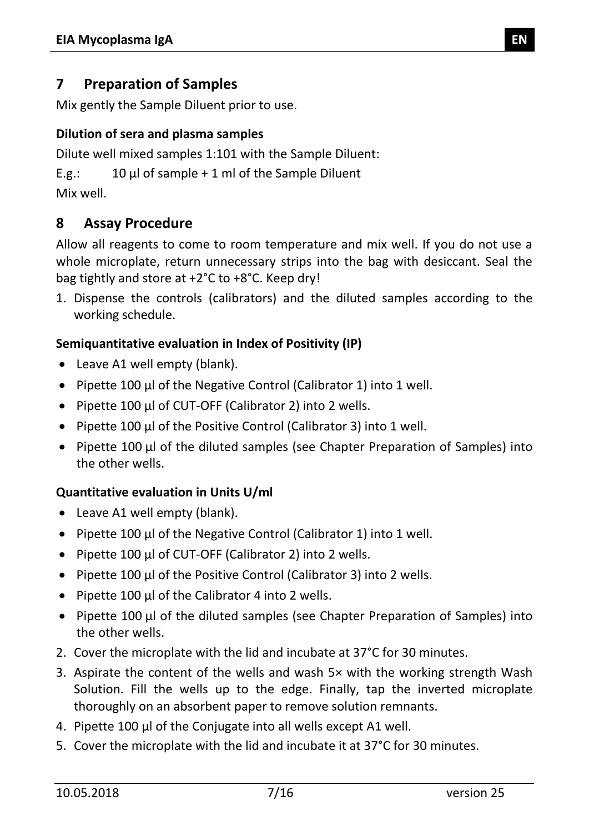#### <span id="page-6-0"></span>**7 Preparation of Samples**

Mix gently the Sample Diluent prior to use.

#### **Dilution of sera and plasma samples**

Dilute well mixed samples 1:101 with the Sample Diluent:

E.g.:  $10 \mu l$  of sample + 1 ml of the Sample Diluent

Mix well.

#### <span id="page-6-1"></span>**8 Assay Procedure**

Allow all reagents to come to room temperature and mix well. If you do not use a whole microplate, return unnecessary strips into the bag with desiccant. Seal the bag tightly and store at +2°C to +8°C. Keep dry!

1. Dispense the controls (calibrators) and the diluted samples according to the working schedule.

#### **Semiquantitative evaluation in Index of Positivity (IP)**

- Leave A1 well empty (blank).
- Pipette 100 µl of the Negative Control (Calibrator 1) into 1 well.
- Pipette 100 µl of CUT-OFF (Calibrator 2) into 2 wells.
- Pipette 100 µl of the Positive Control (Calibrator 3) into 1 well.
- Pipette 100 µl of the diluted samples (see Chapter Preparation of Samples) into the other wells.

#### **Quantitative evaluation in Units U/ml**

- Leave A1 well empty (blank).
- Pipette 100 µl of the Negative Control (Calibrator 1) into 1 well.
- Pipette 100 µl of CUT-OFF (Calibrator 2) into 2 wells.
- Pipette 100 µl of the Positive Control (Calibrator 3) into 2 wells.
- Pipette 100 μl of the Calibrator 4 into 2 wells.
- Pipette 100 µl of the diluted samples (see Chapter Preparation of Samples) into the other wells.
- 2. Cover the microplate with the lid and incubate at 37°C for 30 minutes.
- 3. Aspirate the content of the wells and wash 5× with the working strength Wash Solution. Fill the wells up to the edge. Finally, tap the inverted microplate thoroughly on an absorbent paper to remove solution remnants.
- 4. Pipette 100 µl of the Conjugate into all wells except A1 well.
- 5. Cover the microplate with the lid and incubate it at 37°C for 30 minutes.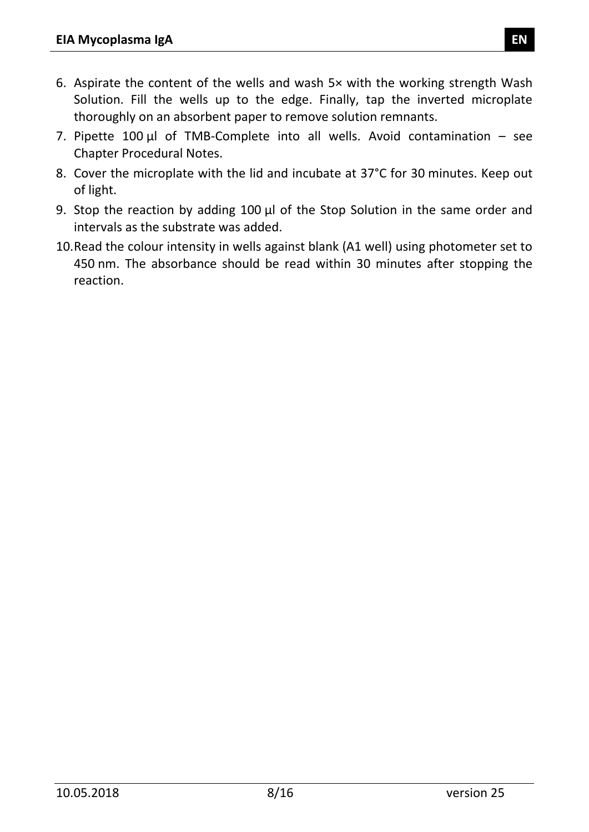- 6. Aspirate the content of the wells and wash 5× with the working strength Wash Solution. Fill the wells up to the edge. Finally, tap the inverted microplate thoroughly on an absorbent paper to remove solution remnants.
- 7. Pipette  $100 \mu l$  of TMB-Complete into all wells. Avoid contamination see Chapter Procedural Notes.
- 8. Cover the microplate with the lid and incubate at 37°C for 30 minutes. Keep out of light.
- 9. Stop the reaction by adding 100 µl of the Stop Solution in the same order and intervals as the substrate was added.
- <span id="page-7-0"></span>10.Read the colour intensity in wells against blank (A1 well) using photometer set to 450 nm. The absorbance should be read within 30 minutes after stopping the reaction.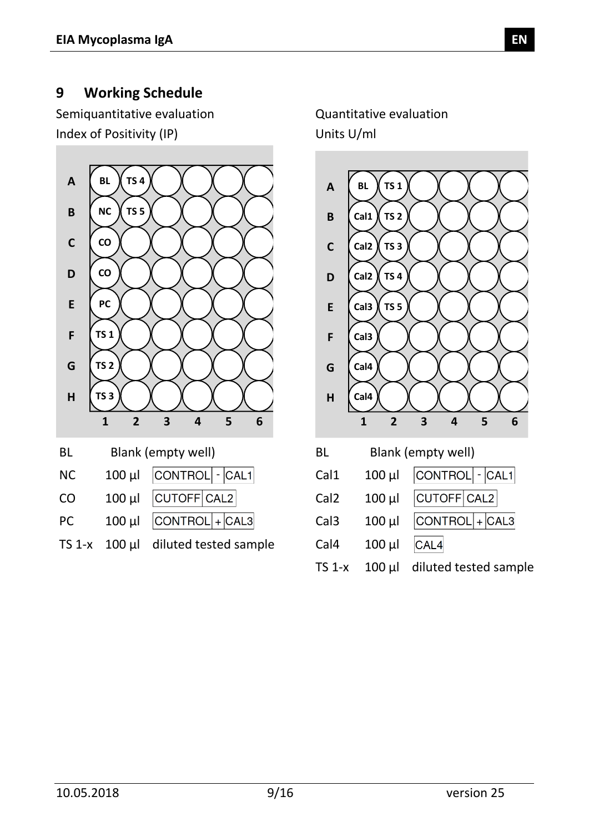#### **9 Working Schedule**

Semiquantitative evaluation Quantitative evaluation Index of Positivity (IP) Units U/ml

<span id="page-8-0"></span>

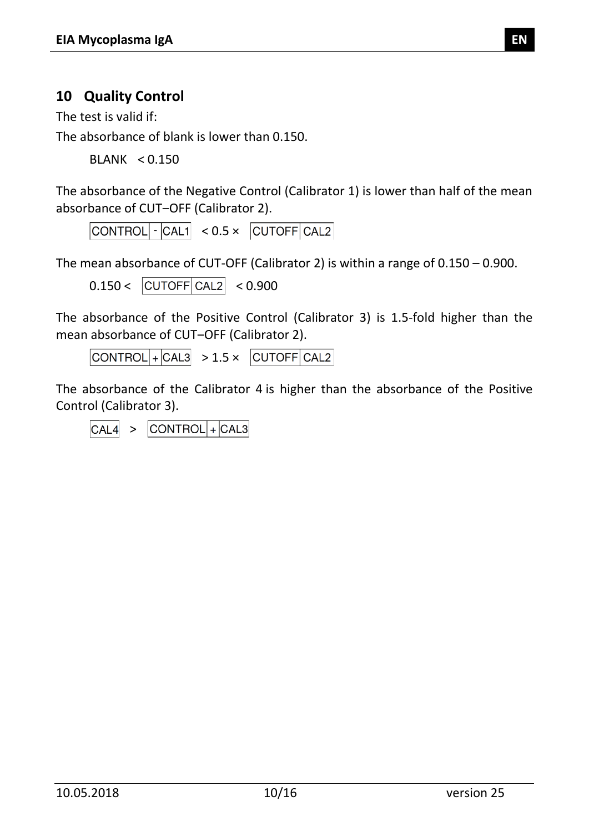# **10 Quality Control**

The test is valid if:

The absorbance of blank is lower than 0.150.

BLANK < 0.150

The absorbance of the Negative Control (Calibrator 1) is lower than half of the mean absorbance of CUT-OFF (Calibrator 2).

 $\text{CONTROL}$   $\cdot$   $\text{CAL1}$   $\lt$  0.5  $\times$   $\text{CUTOFF}$  CAL2

The mean absorbance of CUT-OFF (Calibrator 2) is within a range of 0.150 – 0.900.

 $0.150 < |CUTOFF|CAL2| < 0.900$ 

The absorbance of the Positive Control (Calibrator 3) is 1.5-fold higher than the mean absorbance of CUT-OFF (Calibrator 2).

 $\text{CONTROL}$  +  $\text{CAL3}$  > 1.5 ×  $\text{CUTOFF}$   $\text{CAL2}$ 

The absorbance of the Calibrator 4 is higher than the absorbance of the Positive Control (Calibrator 3).

<span id="page-9-0"></span> $\vert$ CONTROL $\vert$ + $\vert$ CAL3  $CAL4 >$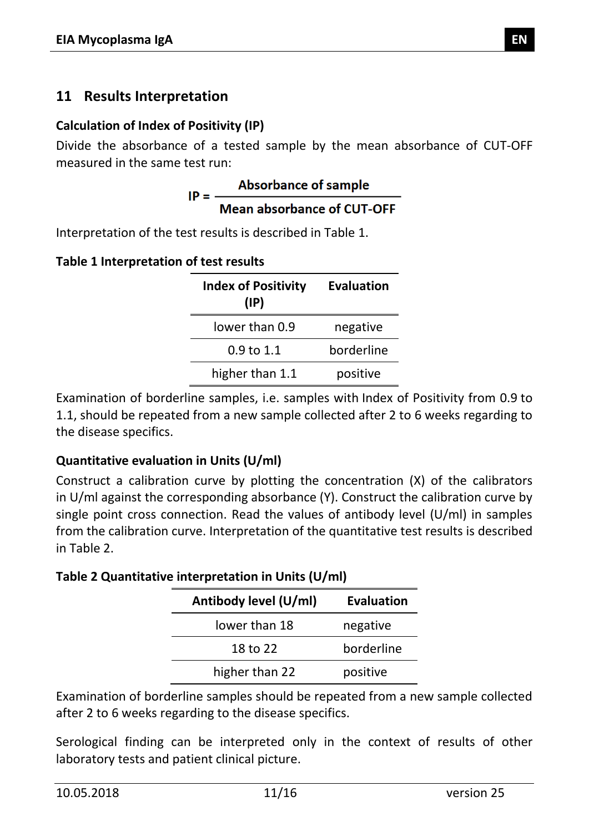#### **11 Results Interpretation**

#### **Calculation of Index of Positivity (IP)**

Divide the absorbance of a tested sample by the mean absorbance of CUT-OFF

measured in the same test run:<br>**Absorbance of sample**<br>**ID** - -----Mean absorbance of CUT-OFF

Interpretation of the test results is described in [Table 1.](#page-10-0)

<span id="page-10-0"></span>

|  | Table 1 Interpretation of test results |  |  |  |
|--|----------------------------------------|--|--|--|
|--|----------------------------------------|--|--|--|

| <b>Index of Positivity</b><br>$(\mathsf{IP})$ | <b>Evaluation</b> |
|-----------------------------------------------|-------------------|
| lower than 0.9                                | negative          |
| 0.9 to 1.1                                    | borderline        |
| higher than 1.1                               | positive          |

Examination of borderline samples, i.e. samples with Index of Positivity from 0.9 to 1.1, should be repeated from a new sample collected after 2 to 6 weeks regarding to the disease specifics.

#### **Quantitative evaluation in Units (U/ml)**

Construct a calibration curve by plotting the concentration (X) of the calibrators in U/ml against the corresponding absorbance (Y). Construct the calibration curve by single point cross connection. Read the values of antibody level (U/ml) in samples from the calibration curve. Interpretation of the quantitative test results is described in [Table 2.](#page-10-1)

<span id="page-10-1"></span>**Table 2 Quantitative interpretation in Units (U/ml)**

| Antibody level (U/ml) | <b>Evaluation</b> |
|-----------------------|-------------------|
| lower than 18         | negative          |
| 18 to 22              | borderline        |
| higher than 22        | positive          |

Examination of borderline samples should be repeated from a new sample collected after 2 to 6 weeks regarding to the disease specifics.

Serological finding can be interpreted only in the context of results of other laboratory tests and patient clinical picture.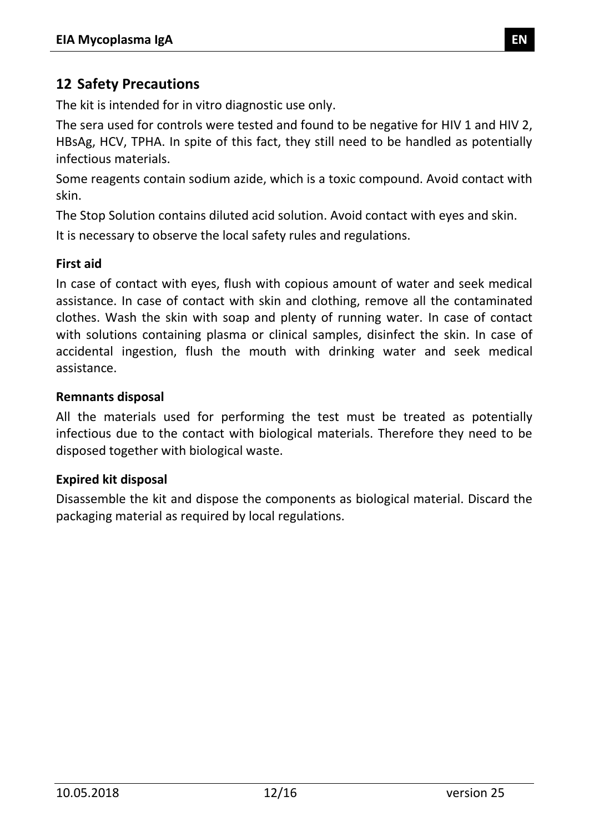#### <span id="page-11-0"></span>**12 Safety Precautions**

The kit is intended for in vitro diagnostic use only.

The sera used for controls were tested and found to be negative for HIV 1 and HIV 2, HBsAg, HCV, TPHA. In spite of this fact, they still need to be handled as potentially infectious materials.

Some reagents contain sodium azide, which is a toxic compound. Avoid contact with skin.

The Stop Solution contains diluted acid solution. Avoid contact with eyes and skin.

It is necessary to observe the local safety rules and regulations.

#### **First aid**

In case of contact with eyes, flush with copious amount of water and seek medical assistance. In case of contact with skin and clothing, remove all the contaminated clothes. Wash the skin with soap and plenty of running water. In case of contact with solutions containing plasma or clinical samples, disinfect the skin. In case of accidental ingestion, flush the mouth with drinking water and seek medical assistance.

#### **Remnants disposal**

All the materials used for performing the test must be treated as potentially infectious due to the contact with biological materials. Therefore they need to be disposed together with biological waste.

#### **Expired kit disposal**

<span id="page-11-1"></span>Disassemble the kit and dispose the components as biological material. Discard the packaging material as required by local regulations.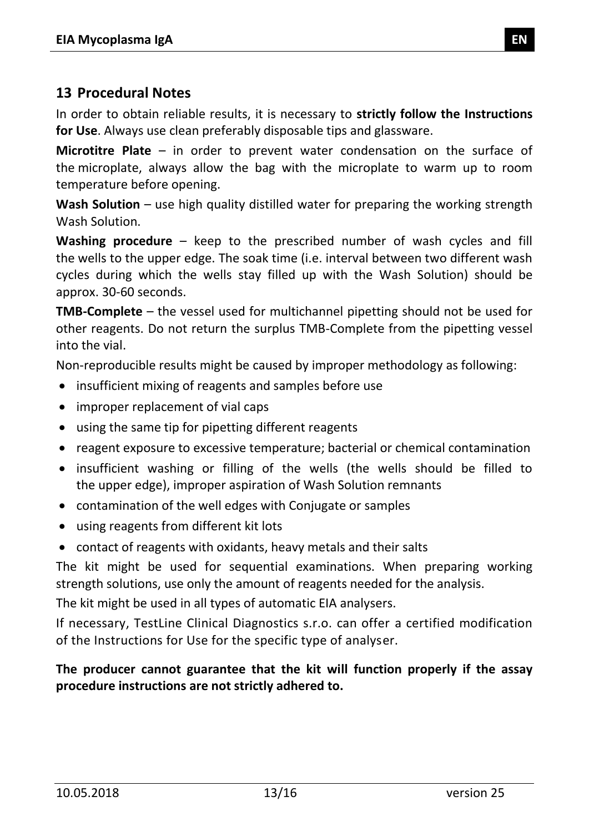#### **13 Procedural Notes**

In order to obtain reliable results, it is necessary to **strictly follow the Instructions for Use**. Always use clean preferably disposable tips and glassware.

**Microtitre Plate** – in order to prevent water condensation on the surface of the microplate, always allow the bag with the microplate to warm up to room temperature before opening.

**Wash Solution** – use high quality distilled water for preparing the working strength Wash Solution.

**Washing procedure** – keep to the prescribed number of wash cycles and fill the wells to the upper edge. The soak time (i.e. interval between two different wash cycles during which the wells stay filled up with the Wash Solution) should be approx. 30-60 seconds.

**TMB-Complete** – the vessel used for multichannel pipetting should not be used for other reagents. Do not return the surplus TMB-Complete from the pipetting vessel into the vial.

Non-reproducible results might be caused by improper methodology as following:

- insufficient mixing of reagents and samples before use
- improper replacement of vial caps
- using the same tip for pipetting different reagents
- reagent exposure to excessive temperature; bacterial or chemical contamination
- insufficient washing or filling of the wells (the wells should be filled to the upper edge), improper aspiration of Wash Solution remnants
- contamination of the well edges with Conjugate or samples
- using reagents from different kit lots
- contact of reagents with oxidants, heavy metals and their salts

The kit might be used for sequential examinations. When preparing working strength solutions, use only the amount of reagents needed for the analysis.

The kit might be used in all types of automatic EIA analysers.

If necessary, TestLine Clinical Diagnostics s.r.o. can offer a certified modification of the Instructions for Use for the specific type of analyser.

#### <span id="page-12-0"></span>**The producer cannot guarantee that the kit will function properly if the assay procedure instructions are not strictly adhered to.**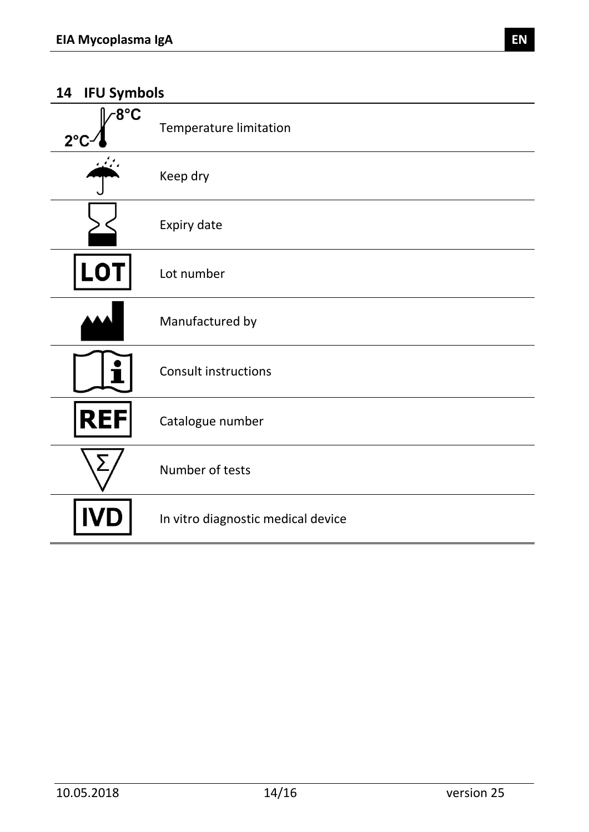| ⁄8°C<br>$2^{\circ}$ | <b>Temperature limitation</b>      |
|---------------------|------------------------------------|
|                     | Keep dry                           |
|                     | Expiry date                        |
| <b>LOT</b>          | Lot number                         |
|                     | Manufactured by                    |
|                     | <b>Consult instructions</b>        |
| <b>REF</b>          | Catalogue number                   |
|                     | Number of tests                    |
|                     | In vitro diagnostic medical device |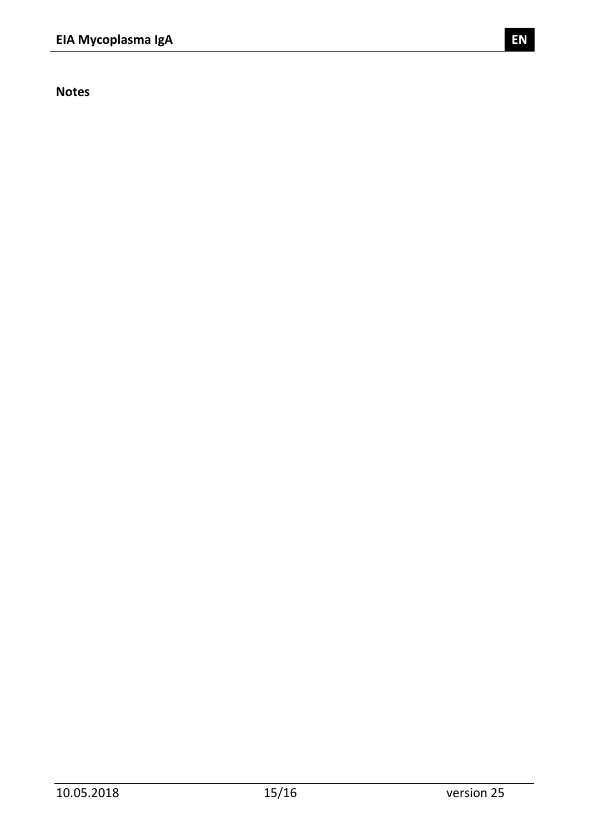**Notes**